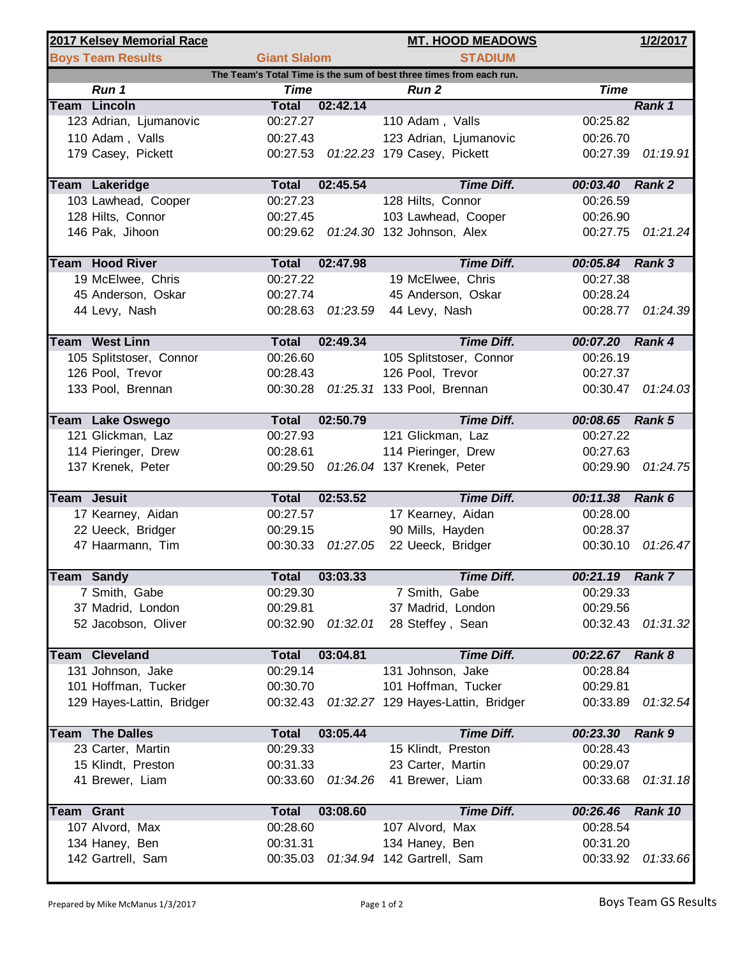|                                                                     | 2017 Kelsey Memorial Race |                     |                   | <b>MT. HOOD MEADOWS</b>                        |                 | 1/2/2017          |  |  |  |  |  |
|---------------------------------------------------------------------|---------------------------|---------------------|-------------------|------------------------------------------------|-----------------|-------------------|--|--|--|--|--|
|                                                                     | <b>Boys Team Results</b>  | <b>Giant Slalom</b> |                   | <b>STADIUM</b>                                 |                 |                   |  |  |  |  |  |
| The Team's Total Time is the sum of best three times from each run. |                           |                     |                   |                                                |                 |                   |  |  |  |  |  |
|                                                                     | Run 1                     | <b>Time</b>         |                   | Run 2                                          | <b>Time</b>     |                   |  |  |  |  |  |
|                                                                     | <b>Team Lincoln</b>       | <b>Total</b>        | 02:42.14          |                                                |                 | Rank 1            |  |  |  |  |  |
|                                                                     | 123 Adrian, Ljumanovic    | 00:27.27            |                   | 110 Adam, Valls                                | 00:25.82        |                   |  |  |  |  |  |
|                                                                     | 110 Adam, Valls           | 00:27.43            |                   | 123 Adrian, Ljumanovic                         | 00:26.70        |                   |  |  |  |  |  |
|                                                                     | 179 Casey, Pickett        |                     |                   | 00:27.53 01:22.23 179 Casey, Pickett           | 00:27.39        | 01:19.91          |  |  |  |  |  |
|                                                                     | <b>Team Lakeridge</b>     | <b>Total</b>        | 02:45.54          | <b>Time Diff.</b>                              | 00:03.40 Rank 2 |                   |  |  |  |  |  |
|                                                                     | 103 Lawhead, Cooper       | 00:27.23            |                   | 128 Hilts, Connor                              | 00:26.59        |                   |  |  |  |  |  |
|                                                                     | 128 Hilts, Connor         | 00:27.45            |                   | 103 Lawhead, Cooper                            | 00:26.90        |                   |  |  |  |  |  |
|                                                                     | 146 Pak, Jihoon           |                     |                   | 00:29.62  01:24.30  132  Johnson, Alex         | 00:27.75        | 01:21.24          |  |  |  |  |  |
|                                                                     | <b>Team Hood River</b>    | <b>Total</b>        | 02:47.98          | <b>Time Diff.</b>                              | 00:05.84 Rank 3 |                   |  |  |  |  |  |
|                                                                     | 19 McElwee, Chris         | 00:27.22            |                   | 19 McElwee, Chris                              | 00:27.38        |                   |  |  |  |  |  |
|                                                                     | 45 Anderson, Oskar        | 00:27.74            |                   | 45 Anderson, Oskar                             | 00:28.24        |                   |  |  |  |  |  |
|                                                                     | 44 Levy, Nash             |                     | 00:28.63 01:23.59 | 44 Levy, Nash                                  |                 | 00:28.77 01:24.39 |  |  |  |  |  |
|                                                                     | <b>Team West Linn</b>     | <b>Total</b>        | 02:49.34          | <b>Time Diff.</b>                              | 00:07.20 Rank 4 |                   |  |  |  |  |  |
|                                                                     | 105 Splitstoser, Connor   | 00:26.60            |                   | 105 Splitstoser, Connor                        | 00:26.19        |                   |  |  |  |  |  |
|                                                                     | 126 Pool, Trevor          | 00:28.43            |                   | 126 Pool, Trevor                               | 00:27.37        |                   |  |  |  |  |  |
|                                                                     | 133 Pool, Brennan         |                     |                   | 00:30.28  01:25.31  133  Pool, Brennan         |                 | 00:30.47 01:24.03 |  |  |  |  |  |
|                                                                     |                           |                     |                   |                                                |                 |                   |  |  |  |  |  |
|                                                                     | Team Lake Oswego          | <b>Total</b>        | 02:50.79          | <b>Time Diff.</b>                              | 00:08.65 Rank 5 |                   |  |  |  |  |  |
|                                                                     | 121 Glickman, Laz         | 00:27.93            |                   | 121 Glickman, Laz                              | 00:27.22        |                   |  |  |  |  |  |
|                                                                     | 114 Pieringer, Drew       | 00:28.61            |                   | 114 Pieringer, Drew                            | 00:27.63        |                   |  |  |  |  |  |
|                                                                     | 137 Krenek, Peter         |                     |                   | 00:29.50 01:26.04 137 Krenek, Peter            | 00:29.90        | 01:24.75          |  |  |  |  |  |
| <b>Team Jesuit</b>                                                  |                           | <b>Total</b>        | 02:53.52          | <b>Time Diff.</b>                              | 00:11.38        | Rank 6            |  |  |  |  |  |
|                                                                     | 17 Kearney, Aidan         | 00:27.57            |                   | 17 Kearney, Aidan                              | 00:28.00        |                   |  |  |  |  |  |
|                                                                     | 22 Ueeck, Bridger         | 00:29.15            |                   | 90 Mills, Hayden                               | 00:28.37        |                   |  |  |  |  |  |
|                                                                     | 47 Haarmann, Tim          | 00:30.33            | 01:27.05          | 22 Ueeck, Bridger                              | 00:30.10        | 01:26.47          |  |  |  |  |  |
|                                                                     | <b>Team Sandy</b>         | <b>Total</b>        | 03:03.33          | <b>Time Diff.</b>                              | 00:21.19 Rank 7 |                   |  |  |  |  |  |
|                                                                     | 7 Smith, Gabe             | 00:29.30            |                   | 7 Smith, Gabe                                  | 00:29.33        |                   |  |  |  |  |  |
|                                                                     | 37 Madrid, London         | 00:29.81            |                   | 37 Madrid, London                              | 00:29.56        |                   |  |  |  |  |  |
|                                                                     | 52 Jacobson, Oliver       | 00:32.90            | 01:32.01          | 28 Steffey, Sean                               | 00:32.43        | 01:31.32          |  |  |  |  |  |
|                                                                     |                           |                     |                   |                                                |                 |                   |  |  |  |  |  |
|                                                                     | <b>Team Cleveland</b>     | <b>Total</b>        | 03:04.81          | <b>Time Diff.</b>                              | 00:22.67 Rank 8 |                   |  |  |  |  |  |
|                                                                     | 131 Johnson, Jake         | 00:29.14            |                   | 131 Johnson, Jake                              | 00:28.84        |                   |  |  |  |  |  |
|                                                                     | 101 Hoffman, Tucker       | 00:30.70            |                   | 101 Hoffman, Tucker                            | 00:29.81        |                   |  |  |  |  |  |
|                                                                     | 129 Hayes-Lattin, Bridger |                     |                   | 00:32.43  01:32.27  129  Hayes-Lattin, Bridger | 00:33.89        | 01:32.54          |  |  |  |  |  |
|                                                                     | <b>Team The Dalles</b>    | <b>Total</b>        | 03:05.44          | <b>Time Diff.</b>                              | 00:23.30        | <b>Rank 9</b>     |  |  |  |  |  |
|                                                                     | 23 Carter, Martin         | 00:29.33            |                   | 15 Klindt, Preston                             | 00:28.43        |                   |  |  |  |  |  |
|                                                                     | 15 Klindt, Preston        | 00:31.33            |                   | 23 Carter, Martin                              | 00:29.07        |                   |  |  |  |  |  |
|                                                                     | 41 Brewer, Liam           | 00:33.60            | 01:34.26          | 41 Brewer, Liam                                | 00:33.68        | 01:31.18          |  |  |  |  |  |
| <b>Team Grant</b>                                                   |                           | <b>Total</b>        | 03:08.60          | <b>Time Diff.</b>                              | 00:26.46        | Rank 10           |  |  |  |  |  |
|                                                                     | 107 Alvord, Max           | 00:28.60            |                   | 107 Alvord, Max                                | 00:28.54        |                   |  |  |  |  |  |
|                                                                     | 134 Haney, Ben            | 00:31.31            |                   | 134 Haney, Ben                                 | 00:31.20        |                   |  |  |  |  |  |
|                                                                     | 142 Gartrell, Sam         | 00:35.03            |                   | 01:34.94 142 Gartrell, Sam                     | 00:33.92        | 01:33.66          |  |  |  |  |  |
|                                                                     |                           |                     |                   |                                                |                 |                   |  |  |  |  |  |